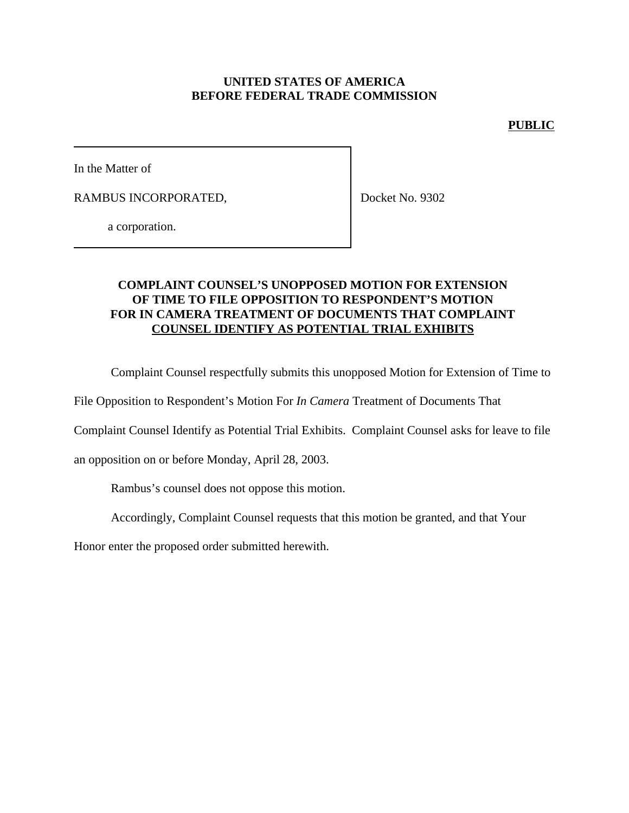# **UNITED STATES OF AMERICA BEFORE FEDERAL TRADE COMMISSION**

### **PUBLIC**

In the Matter of

RAMBUS INCORPORATED,

Docket No. 9302

a corporation.

# **COMPLAINT COUNSEL'S UNOPPOSED MOTION FOR EXTENSION OF TIME TO FILE OPPOSITION TO RESPONDENT'S MOTION FOR IN CAMERA TREATMENT OF DOCUMENTS THAT COMPLAINT COUNSEL IDENTIFY AS POTENTIAL TRIAL EXHIBITS**

Complaint Counsel respectfully submits this unopposed Motion for Extension of Time to

File Opposition to Respondent's Motion For *In Camera* Treatment of Documents That

Complaint Counsel Identify as Potential Trial Exhibits. Complaint Counsel asks for leave to file

an opposition on or before Monday, April 28, 2003.

Rambus's counsel does not oppose this motion.

Accordingly, Complaint Counsel requests that this motion be granted, and that Your

Honor enter the proposed order submitted herewith.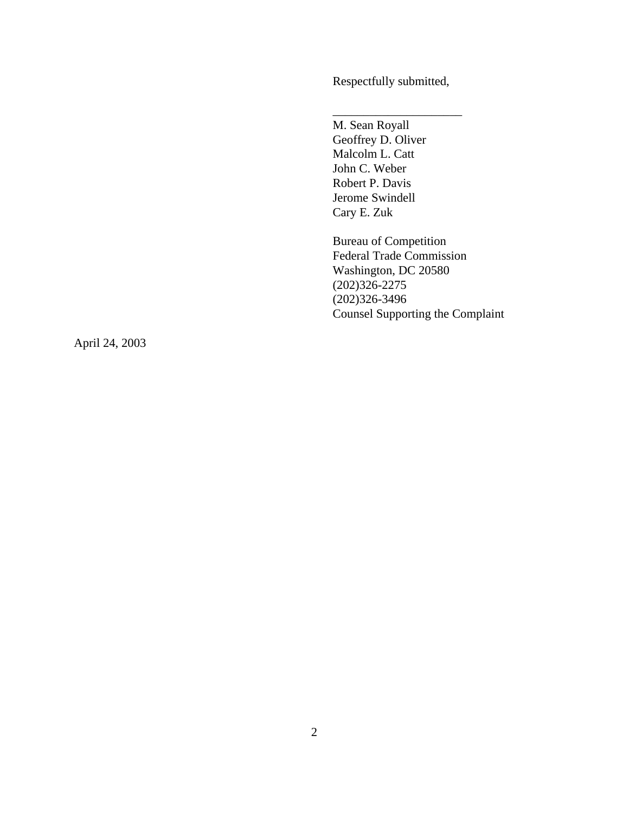Respectfully submitted,

\_\_\_\_\_\_\_\_\_\_\_\_\_\_\_\_\_\_\_\_\_

M. Sean Royall Geoffrey D. Oliver Malcolm L. Catt John C. Weber Robert P. Davis Jerome Swindell Cary E. Zuk

Bureau of Competition Federal Trade Commission Washington, DC 20580 (202)326-2275 (202)326-3496 Counsel Supporting the Complaint

April 24, 2003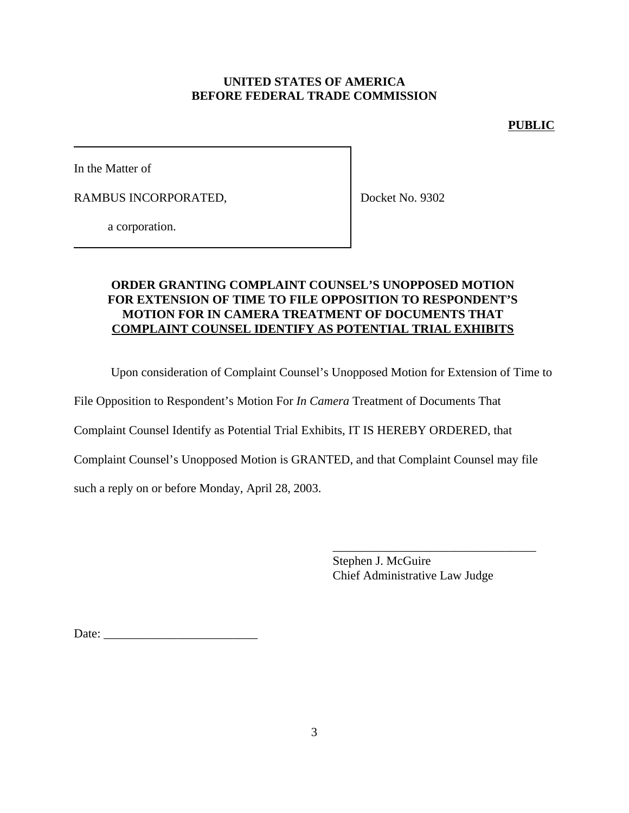## **UNITED STATES OF AMERICA BEFORE FEDERAL TRADE COMMISSION**

### **PUBLIC**

In the Matter of

RAMBUS INCORPORATED,

Docket No. 9302

a corporation.

# **ORDER GRANTING COMPLAINT COUNSEL'S UNOPPOSED MOTION FOR EXTENSION OF TIME TO FILE OPPOSITION TO RESPONDENT'S MOTION FOR IN CAMERA TREATMENT OF DOCUMENTS THAT COMPLAINT COUNSEL IDENTIFY AS POTENTIAL TRIAL EXHIBITS**

Upon consideration of Complaint Counsel's Unopposed Motion for Extension of Time to

File Opposition to Respondent's Motion For *In Camera* Treatment of Documents That

Complaint Counsel Identify as Potential Trial Exhibits, IT IS HEREBY ORDERED, that

Complaint Counsel's Unopposed Motion is GRANTED, and that Complaint Counsel may file

such a reply on or before Monday, April 28, 2003.

Stephen J. McGuire Chief Administrative Law Judge

\_\_\_\_\_\_\_\_\_\_\_\_\_\_\_\_\_\_\_\_\_\_\_\_\_\_\_\_\_\_\_\_\_

Date: